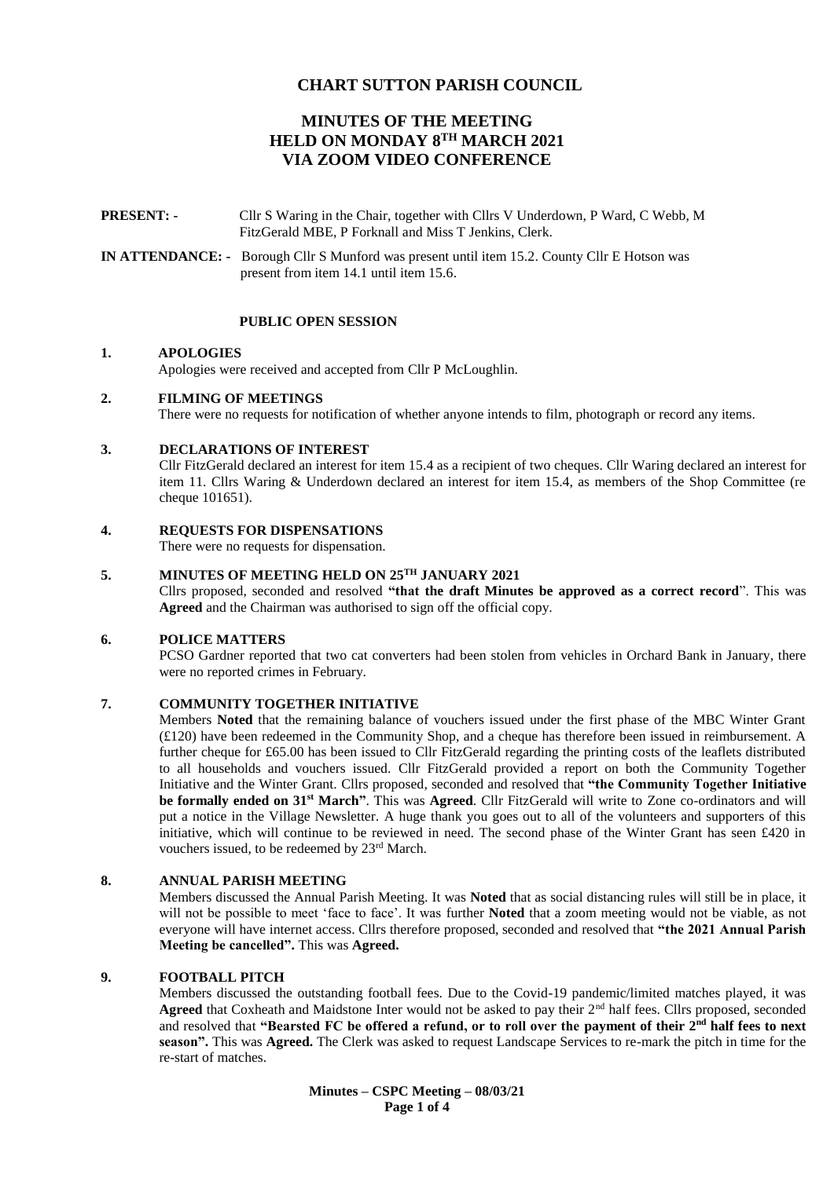# **CHART SUTTON PARISH COUNCIL**

# **MINUTES OF THE MEETING HELD ON MONDAY 8 TH MARCH 2021 VIA ZOOM VIDEO CONFERENCE**

**PRESENT: -** Cllr S Waring in the Chair, together with Cllrs V Underdown, P Ward, C Webb, M FitzGerald MBE, P Forknall and Miss T Jenkins, Clerk.

**IN ATTENDANCE: -** Borough Cllr S Munford was present until item 15.2. County Cllr E Hotson was present from item 14.1 until item 15.6.

## **PUBLIC OPEN SESSION**

#### **1. APOLOGIES**

Apologies were received and accepted from Cllr P McLoughlin.

#### **2. FILMING OF MEETINGS**

There were no requests for notification of whether anyone intends to film, photograph or record any items.

#### **3. DECLARATIONS OF INTEREST**

Cllr FitzGerald declared an interest for item 15.4 as a recipient of two cheques. Cllr Waring declared an interest for item 11. Cllrs Waring & Underdown declared an interest for item 15.4, as members of the Shop Committee (re cheque 101651).

# **4. REQUESTS FOR DISPENSATIONS**

There were no requests for dispensation.

# **5. MINUTES OF MEETING HELD ON 25TH JANUARY 2021**

Cllrs proposed, seconded and resolved **"that the draft Minutes be approved as a correct record**". This was **Agreed** and the Chairman was authorised to sign off the official copy.

#### **6. POLICE MATTERS**

PCSO Gardner reported that two cat converters had been stolen from vehicles in Orchard Bank in January, there were no reported crimes in February.

#### **7. COMMUNITY TOGETHER INITIATIVE**

Members **Noted** that the remaining balance of vouchers issued under the first phase of the MBC Winter Grant (£120) have been redeemed in the Community Shop, and a cheque has therefore been issued in reimbursement. A further cheque for £65.00 has been issued to Cllr FitzGerald regarding the printing costs of the leaflets distributed to all households and vouchers issued. Cllr FitzGerald provided a report on both the Community Together Initiative and the Winter Grant. Cllrs proposed, seconded and resolved that **"the Community Together Initiative be formally ended on 31st March"**. This was **Agreed**. Cllr FitzGerald will write to Zone co-ordinators and will put a notice in the Village Newsletter. A huge thank you goes out to all of the volunteers and supporters of this initiative, which will continue to be reviewed in need. The second phase of the Winter Grant has seen £420 in vouchers issued, to be redeemed by 23rd March.

#### **8. ANNUAL PARISH MEETING**

Members discussed the Annual Parish Meeting. It was **Noted** that as social distancing rules will still be in place, it will not be possible to meet 'face to face'. It was further **Noted** that a zoom meeting would not be viable, as not everyone will have internet access. Cllrs therefore proposed, seconded and resolved that **"the 2021 Annual Parish Meeting be cancelled".** This was **Agreed.**

## **9. FOOTBALL PITCH**

Members discussed the outstanding football fees. Due to the Covid-19 pandemic/limited matches played, it was Agreed that Coxheath and Maidstone Inter would not be asked to pay their 2<sup>nd</sup> half fees. Cllrs proposed, seconded and resolved that **"Bearsted FC be offered a refund, or to roll over the payment of their 2nd half fees to next season".** This was **Agreed.** The Clerk was asked to request Landscape Services to re-mark the pitch in time for the re-start of matches.

> **Minutes – CSPC Meeting – 08/03/21 Page 1 of 4**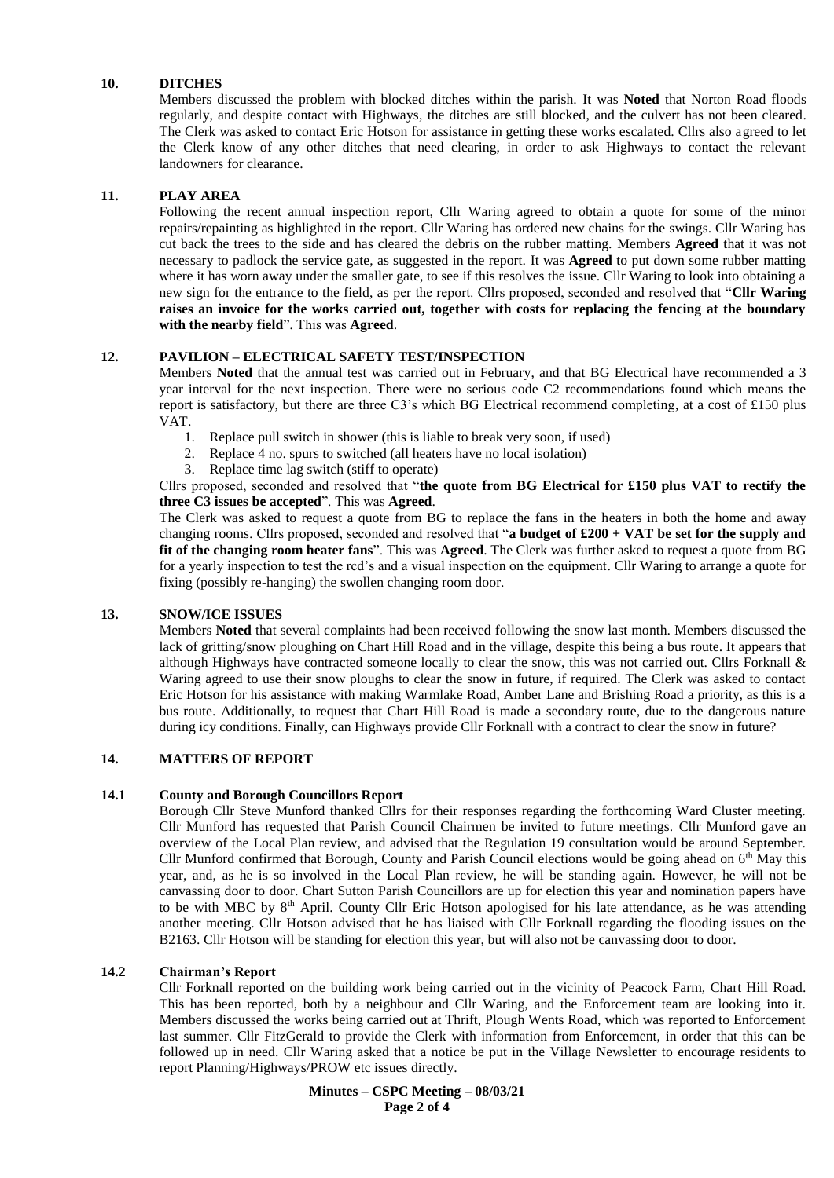# **10. DITCHES**

Members discussed the problem with blocked ditches within the parish. It was **Noted** that Norton Road floods regularly, and despite contact with Highways, the ditches are still blocked, and the culvert has not been cleared. The Clerk was asked to contact Eric Hotson for assistance in getting these works escalated. Cllrs also agreed to let the Clerk know of any other ditches that need clearing, in order to ask Highways to contact the relevant landowners for clearance.

# **11. PLAY AREA**

Following the recent annual inspection report, Cllr Waring agreed to obtain a quote for some of the minor repairs/repainting as highlighted in the report. Cllr Waring has ordered new chains for the swings. Cllr Waring has cut back the trees to the side and has cleared the debris on the rubber matting. Members **Agreed** that it was not necessary to padlock the service gate, as suggested in the report. It was **Agreed** to put down some rubber matting where it has worn away under the smaller gate, to see if this resolves the issue. Cllr Waring to look into obtaining a new sign for the entrance to the field, as per the report. Cllrs proposed, seconded and resolved that "**Cllr Waring raises an invoice for the works carried out, together with costs for replacing the fencing at the boundary with the nearby field**". This was **Agreed**.

## **12. PAVILION – ELECTRICAL SAFETY TEST/INSPECTION**

Members **Noted** that the annual test was carried out in February, and that BG Electrical have recommended a 3 year interval for the next inspection. There were no serious code C2 recommendations found which means the report is satisfactory, but there are three C3's which BG Electrical recommend completing, at a cost of £150 plus VAT.

- 1. Replace pull switch in shower (this is liable to break very soon, if used)
- 2. Replace 4 no. spurs to switched (all heaters have no local isolation)
- 3. Replace time lag switch (stiff to operate)

# Cllrs proposed, seconded and resolved that "**the quote from BG Electrical for £150 plus VAT to rectify the three C3 issues be accepted**". This was **Agreed**.

The Clerk was asked to request a quote from BG to replace the fans in the heaters in both the home and away changing rooms. Cllrs proposed, seconded and resolved that "**a budget of £200 + VAT be set for the supply and fit of the changing room heater fans**". This was **Agreed**. The Clerk was further asked to request a quote from BG for a yearly inspection to test the rcd's and a visual inspection on the equipment. Cllr Waring to arrange a quote for fixing (possibly re-hanging) the swollen changing room door.

## **13. SNOW/ICE ISSUES**

Members **Noted** that several complaints had been received following the snow last month. Members discussed the lack of gritting/snow ploughing on Chart Hill Road and in the village, despite this being a bus route. It appears that although Highways have contracted someone locally to clear the snow, this was not carried out. Cllrs Forknall & Waring agreed to use their snow ploughs to clear the snow in future, if required. The Clerk was asked to contact Eric Hotson for his assistance with making Warmlake Road, Amber Lane and Brishing Road a priority, as this is a bus route. Additionally, to request that Chart Hill Road is made a secondary route, due to the dangerous nature during icy conditions. Finally, can Highways provide Cllr Forknall with a contract to clear the snow in future?

# **14. MATTERS OF REPORT**

## **14.1 County and Borough Councillors Report**

Borough Cllr Steve Munford thanked Cllrs for their responses regarding the forthcoming Ward Cluster meeting. Cllr Munford has requested that Parish Council Chairmen be invited to future meetings. Cllr Munford gave an overview of the Local Plan review, and advised that the Regulation 19 consultation would be around September. Cllr Munford confirmed that Borough, County and Parish Council elections would be going ahead on  $6<sup>th</sup>$  May this year, and, as he is so involved in the Local Plan review, he will be standing again. However, he will not be canvassing door to door. Chart Sutton Parish Councillors are up for election this year and nomination papers have to be with MBC by 8th April. County Cllr Eric Hotson apologised for his late attendance, as he was attending another meeting. Cllr Hotson advised that he has liaised with Cllr Forknall regarding the flooding issues on the B2163. Cllr Hotson will be standing for election this year, but will also not be canvassing door to door.

## **14.2 Chairman's Report**

Cllr Forknall reported on the building work being carried out in the vicinity of Peacock Farm, Chart Hill Road. This has been reported, both by a neighbour and Cllr Waring, and the Enforcement team are looking into it. Members discussed the works being carried out at Thrift, Plough Wents Road, which was reported to Enforcement last summer. Cllr FitzGerald to provide the Clerk with information from Enforcement, in order that this can be followed up in need. Cllr Waring asked that a notice be put in the Village Newsletter to encourage residents to report Planning/Highways/PROW etc issues directly.

> **Minutes – CSPC Meeting – 08/03/21 Page 2 of 4**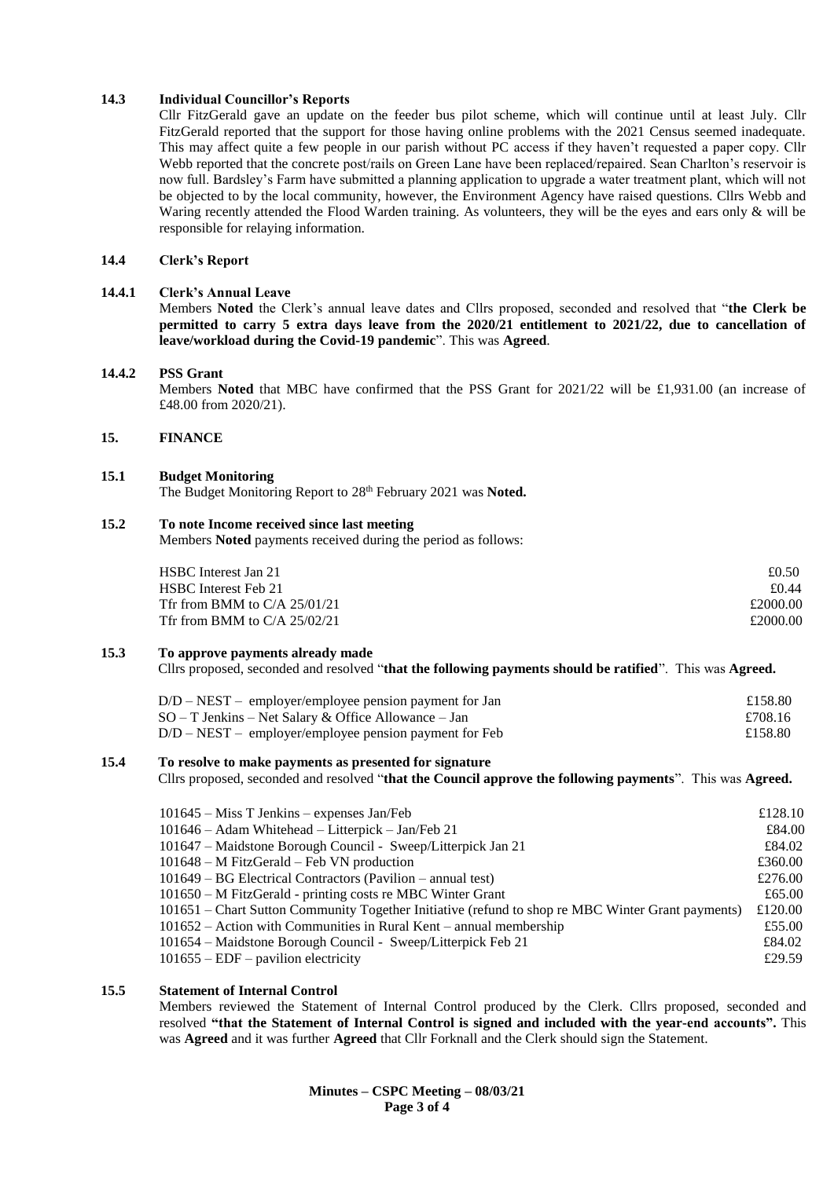## **14.3 Individual Councillor's Reports**

Cllr FitzGerald gave an update on the feeder bus pilot scheme, which will continue until at least July. Cllr FitzGerald reported that the support for those having online problems with the 2021 Census seemed inadequate. This may affect quite a few people in our parish without PC access if they haven't requested a paper copy. Cllr Webb reported that the concrete post/rails on Green Lane have been replaced/repaired. Sean Charlton's reservoir is now full. Bardsley's Farm have submitted a planning application to upgrade a water treatment plant, which will not be objected to by the local community, however, the Environment Agency have raised questions. Cllrs Webb and Waring recently attended the Flood Warden training. As volunteers, they will be the eyes and ears only & will be responsible for relaying information.

#### **14.4 Clerk's Report**

#### **14.4.1 Clerk's Annual Leave**

Members **Noted** the Clerk's annual leave dates and Cllrs proposed, seconded and resolved that "**the Clerk be permitted to carry 5 extra days leave from the 2020/21 entitlement to 2021/22, due to cancellation of leave/workload during the Covid-19 pandemic**". This was **Agreed**.

#### **14.4.2 PSS Grant**

Members **Noted** that MBC have confirmed that the PSS Grant for 2021/22 will be £1,931.00 (an increase of £48.00 from 2020/21).

# **15. FINANCE**

#### **15.1 Budget Monitoring**

The Budget Monitoring Report to 28th February 2021 was **Noted.**

# **15.2 To note Income received since last meeting**

Members **Noted** payments received during the period as follows:

| HSBC Interest Jan 21           | £0.50    |
|--------------------------------|----------|
| HSBC Interest Feb 21           | £0.44    |
| Tfr from BMM to $C/A$ 25/01/21 | £2000.00 |
| Tfr from BMM to $C/A$ 25/02/21 | £2000.00 |

#### **15.3 To approve payments already made**

Cllrs proposed, seconded and resolved "**that the following payments should be ratified**". This was **Agreed.**

| D/D – NEST – employer/employee pension payment for Jan   | £158.80 |
|----------------------------------------------------------|---------|
| SO – T Jenkins – Net Salary & Office Allowance – Jan     | £708.16 |
| $D/D - NEST$ – employer/employee pension payment for Feb | £158.80 |

#### **15.4 To resolve to make payments as presented for signature**

Cllrs proposed, seconded and resolved "**that the Council approve the following payments**". This was **Agreed.**

| $101645 - Miss T Jenkins - expenses Jan/Feb$                                                                      | £128.10          |
|-------------------------------------------------------------------------------------------------------------------|------------------|
| 101646 - Adam Whitehead - Litterpick - Jan/Feb 21<br>101647 – Maidstone Borough Council - Sweep/Litterpick Jan 21 | £84.00<br>£84.02 |
| $101648 - M$ FitzGerald – Feb VN production                                                                       | £360.00          |
| $101649 - BG Electrical Contractors (Pavilion - annual test)$                                                     | £276.00          |
| 101650 – M FitzGerald - printing costs re MBC Winter Grant                                                        | £65.00           |
| 101651 – Chart Sutton Community Together Initiative (refund to shop re MBC Winter Grant payments)                 | £120.00          |
| $101652$ – Action with Communities in Rural Kent – annual membership                                              | £55.00           |
| 101654 – Maidstone Borough Council - Sweep/Litterpick Feb 21                                                      | £84.02           |
| $101655 - EDF$ – pavilion electricity                                                                             | £29.59           |

## **15.5 Statement of Internal Control**

Members reviewed the Statement of Internal Control produced by the Clerk. Cllrs proposed, seconded and resolved **"that the Statement of Internal Control is signed and included with the year-end accounts".** This was **Agreed** and it was further **Agreed** that Cllr Forknall and the Clerk should sign the Statement.

> **Minutes – CSPC Meeting – 08/03/21 Page 3 of 4**